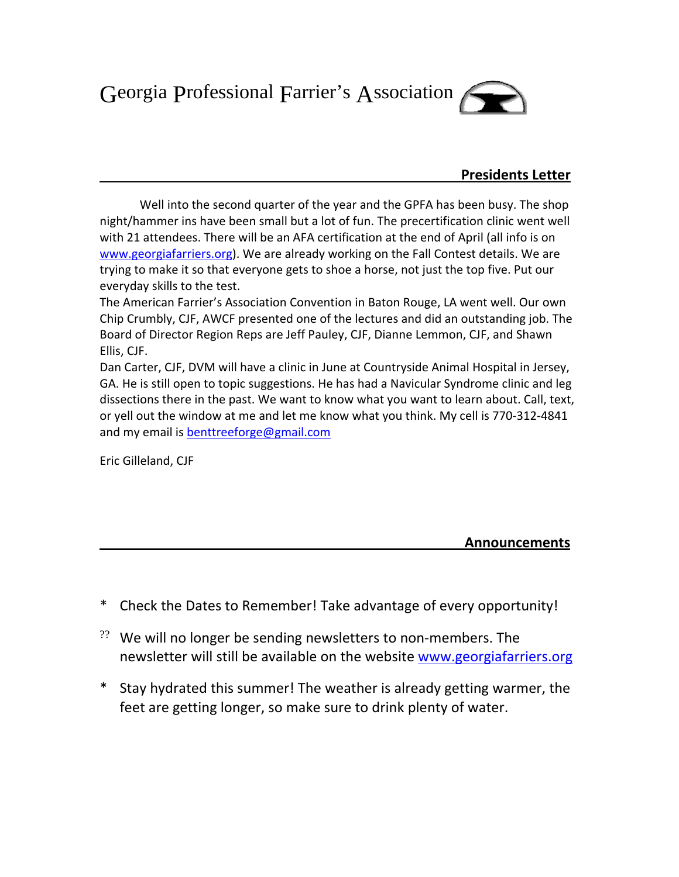Georgia Professional Farrier's Association



## **Presidents Letter**

Well into the second quarter of the year and the GPFA has been busy. The shop night/hammer ins have been small but a lot of fun. The precertification clinic went well with 21 attendees. There will be an AFA certification at the end of April (all info is on www.georgiafarriers.org). We are already working on the Fall Contest details. We are trying to make it so that everyone gets to shoe a horse, not just the top five. Put our everyday skills to the test.

The American Farrier's Association Convention in Baton Rouge, LA went well. Our own Chip Crumbly, CJF, AWCF presented one of the lectures and did an outstanding job. The Board of Director Region Reps are Jeff Pauley, CJF, Dianne Lemmon, CJF, and Shawn Ellis, CJF.

Dan Carter, CJF, DVM will have a clinic in June at Countryside Animal Hospital in Jersey, GA. He is still open to topic suggestions. He has had a Navicular Syndrome clinic and leg dissections there in the past. We want to know what you want to learn about. Call, text, or yell out the window at me and let me know what you think. My cell is 770‐312‐4841 and my email is benttreeforge@gmail.com

Eric Gilleland, CJF

 **Announcements**

- \* Check the Dates to Remember! Take advantage of every opportunity!
- $22$  We will no longer be sending newsletters to non-members. The newsletter will still be available on the website www.georgiafarriers.org
- \* Stay hydrated this summer! The weather is already getting warmer, the feet are getting longer, so make sure to drink plenty of water.